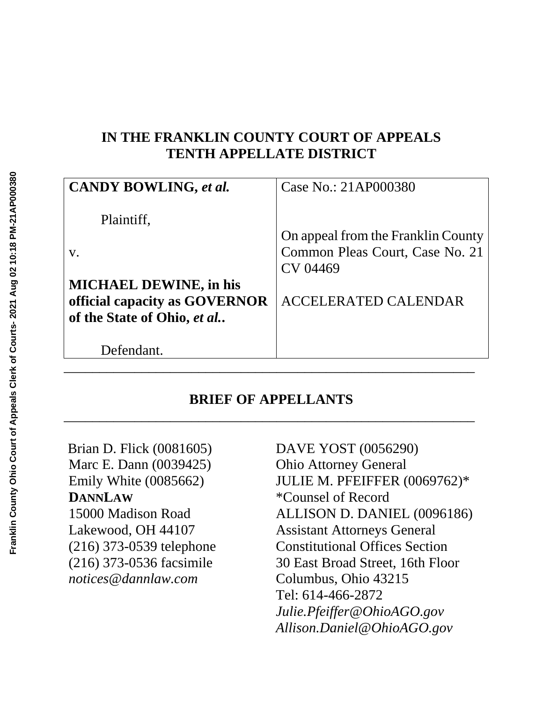## **IN THE FRANKLIN COUNTY COURT OF APPEALS TENTH APPELLATE DISTRICT**

| CANDY BOWLING, et al.         | Case No.: 21AP000380               |
|-------------------------------|------------------------------------|
| Plaintiff,                    |                                    |
|                               | On appeal from the Franklin County |
| V.                            | Common Pleas Court, Case No. 21    |
|                               | CV 04469                           |
| <b>MICHAEL DEWINE, in his</b> |                                    |
| official capacity as GOVERNOR | <b>ACCELERATED CALENDAR</b>        |
| of the State of Ohio, et al   |                                    |
|                               |                                    |
| Defendant.                    |                                    |
|                               |                                    |

## **BRIEF OF APPELLANTS** \_\_\_\_\_\_\_\_\_\_\_\_\_\_\_\_\_\_\_\_\_\_\_\_\_\_\_\_\_\_\_\_\_\_\_\_\_\_\_\_\_\_\_\_\_\_\_\_\_\_\_\_\_\_\_\_\_\_

Brian D. Flick (0081605) Marc E. Dann (0039425) Emily White (0085662) **DANNLAW** 15000 Madison Road Lakewood, OH 44107 (216) 373-0539 telephone (216) 373-0536 facsimile *notices@dannlaw.com*

DAVE YOST (0056290) Ohio Attorney General JULIE M. PFEIFFER (0069762)\* \*Counsel of Record ALLISON D. DANIEL (0096186) Assistant Attorneys General Constitutional Offices Section 30 East Broad Street, 16th Floor Columbus, Ohio 43215 Tel: 614-466-2872 *Julie.Pfeiffer@OhioAGO.gov Allison.Daniel@OhioAGO.gov*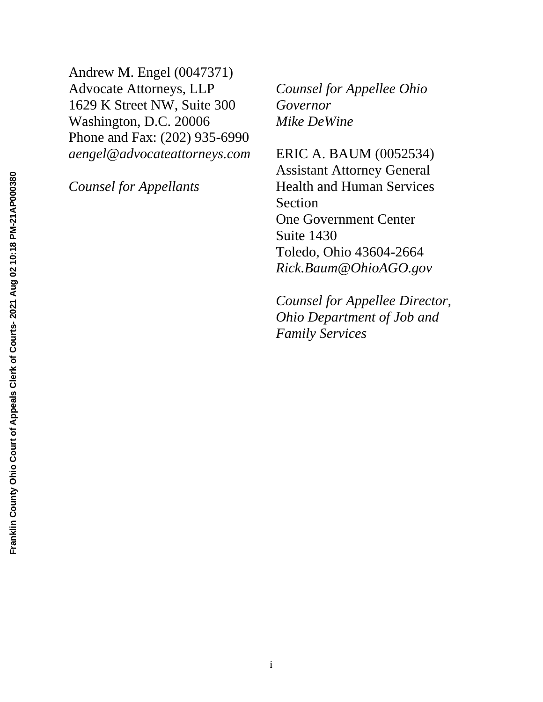Andrew M. Engel (0047371) Advocate Attorneys, LLP 1629 K Street NW, Suite 300 Washington, D.C. 20006 Phone and Fax: (202) 935-6990 *aengel@advocateattorneys.com*

*Counsel for Appellants*

*Counsel for Appellee Ohio Governor Mike DeWine*

ERIC A. BAUM (0052534) Assistant Attorney General Health and Human Services Section One Government Center Suite 1430 Toledo, Ohio 43604-2664 *Rick.Baum@OhioAGO.gov*

*Counsel for Appellee Director, Ohio Department of Job and Family Services*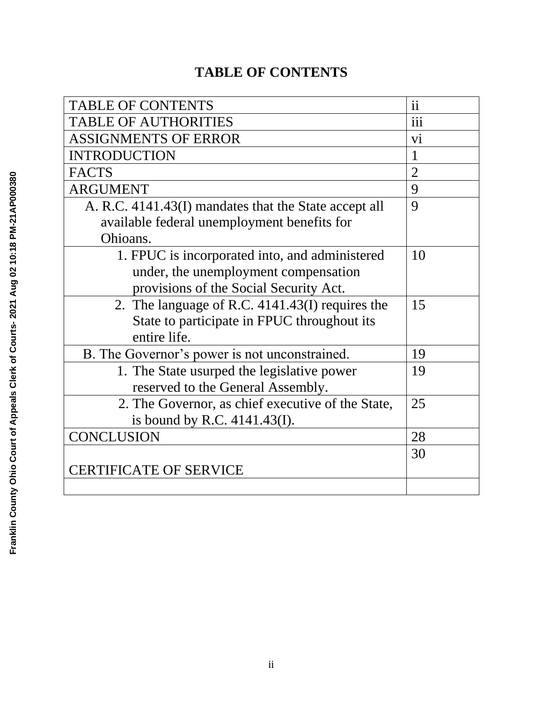# **TABLE OF CONTENTS**

| <b>TABLE OF CONTENTS</b>                              | $\mathbf{ii}$   |
|-------------------------------------------------------|-----------------|
| <b>TABLE OF AUTHORITIES</b>                           | iii             |
| <b>ASSIGNMENTS OF ERROR</b>                           | $\overline{vi}$ |
| <b>INTRODUCTION</b>                                   | 1               |
| <b>FACTS</b>                                          | $\overline{2}$  |
| <b>ARGUMENT</b>                                       | 9               |
| A. R.C. 4141.43(I) mandates that the State accept all | 9               |
| available federal unemployment benefits for           |                 |
| Ohioans.                                              |                 |
| 1. FPUC is incorporated into, and administered        | 10              |
| under, the unemployment compensation                  |                 |
| provisions of the Social Security Act.                |                 |
| 2. The language of R.C. 4141.43(I) requires the       | 15              |
| State to participate in FPUC throughout its           |                 |
| entire life.                                          |                 |
| B. The Governor's power is not unconstrained.         | 19              |
| 1. The State usurped the legislative power            | 19              |
| reserved to the General Assembly.                     |                 |
| 2. The Governor, as chief executive of the State,     | 25              |
| is bound by R.C. $4141.43(I)$ .                       |                 |
| <b>CONCLUSION</b>                                     | 28              |
|                                                       | 30              |
| <b>CERTIFICATE OF SERVICE</b>                         |                 |
|                                                       |                 |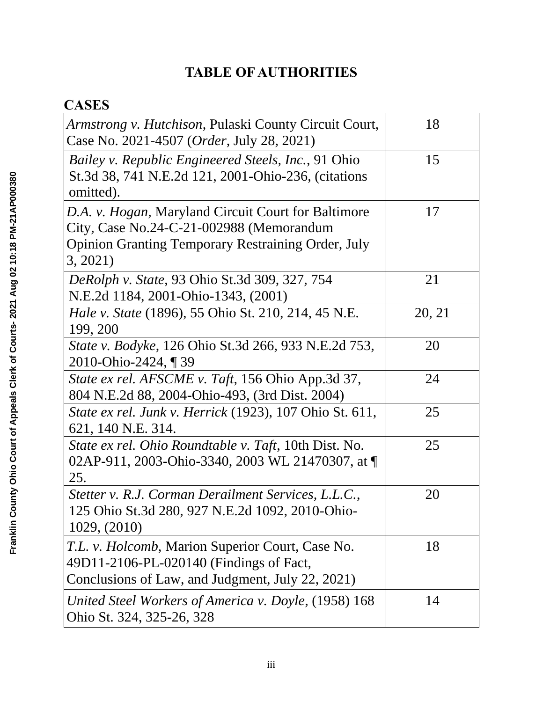# **TABLE OF AUTHORITIES**

# **CASES**

| <i>Armstrong v. Hutchison, Pulaski County Circuit Court,</i><br>Case No. 2021-4507 ( <i>Order</i> , July 28, 2021)                                                       | 18     |
|--------------------------------------------------------------------------------------------------------------------------------------------------------------------------|--------|
| Bailey v. Republic Engineered Steels, Inc., 91 Ohio<br>St.3d 38, 741 N.E.2d 121, 2001-Ohio-236, (citations<br>omitted).                                                  | 15     |
| D.A. v. Hogan, Maryland Circuit Court for Baltimore<br>City, Case No.24-C-21-002988 (Memorandum<br><b>Opinion Granting Temporary Restraining Order, July</b><br>3, 2021) | 17     |
| DeRolph v. State, 93 Ohio St.3d 309, 327, 754<br>N.E.2d 1184, 2001-Ohio-1343, (2001)                                                                                     | 21     |
| <i>Hale v. State</i> (1896), 55 Ohio St. 210, 214, 45 N.E.<br>199, 200                                                                                                   | 20, 21 |
| State v. Bodyke, 126 Ohio St.3d 266, 933 N.E.2d 753,<br>2010-Ohio-2424, 139                                                                                              | 20     |
| State ex rel. AFSCME v. Taft, 156 Ohio App.3d 37,<br>804 N.E.2d 88, 2004-Ohio-493, (3rd Dist. 2004)                                                                      | 24     |
| <i>State ex rel. Junk v. Herrick</i> (1923), 107 Ohio St. 611,<br>621, 140 N.E. 314.                                                                                     | 25     |
| State ex rel. Ohio Roundtable v. Taft, 10th Dist. No.<br>02AP-911, 2003-Ohio-3340, 2003 WL 21470307, at ¶<br>25.                                                         | 25     |
| Stetter v. R.J. Corman Derailment Services, L.L.C.,<br>125 Ohio St.3d 280, 927 N.E.2d 1092, 2010-Ohio-<br>1029, (2010)                                                   | 20     |
| T.L. v. Holcomb, Marion Superior Court, Case No.<br>49D11-2106-PL-020140 (Findings of Fact,<br>Conclusions of Law, and Judgment, July 22, 2021)                          | 18     |
| United Steel Workers of America v. Doyle, (1958) 168<br>Ohio St. 324, 325-26, 328                                                                                        | 14     |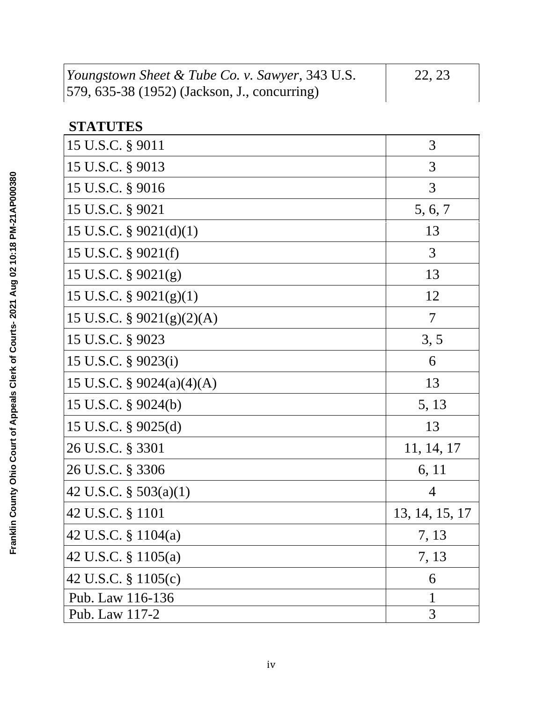| <i>Youngstown Sheet &amp; Tube Co. v. Sawyer</i> , 343 U.S. | 22, 23 |
|-------------------------------------------------------------|--------|
| [579, 635-38 (1952) (Jackson, J., concurring)               |        |

# **STATUTES**

| 15 U.S.C. § 9011             | 3              |
|------------------------------|----------------|
| 15 U.S.C. § 9013             | 3              |
| 15 U.S.C. § 9016             | 3              |
| 15 U.S.C. § 9021             | 5, 6, 7        |
| 15 U.S.C. $\S$ 9021(d)(1)    | 13             |
| 15 U.S.C. § 9021(f)          | 3              |
| 15 U.S.C. $\S 9021(g)$       | 13             |
| 15 U.S.C. $\S$ 9021(g)(1)    | 12             |
| 15 U.S.C. § 9021(g)(2)(A)    | $\overline{7}$ |
| 15 U.S.C. § 9023             | 3, 5           |
| 15 U.S.C. § 9023(i)          | 6              |
| 15 U.S.C. $\S$ 9024(a)(4)(A) | 13             |
| 15 U.S.C. § 9024(b)          | 5, 13          |
| 15 U.S.C. § 9025(d)          | 13             |
| 26 U.S.C. § 3301             | 11, 14, 17     |
| 26 U.S.C. § 3306             | 6, 11          |
| 42 U.S.C. $\S 503(a)(1)$     | 4              |
| 42 U.S.C. § 1101             | 13, 14, 15, 17 |
| 42 U.S.C. § 1104(a)          | 7, 13          |
| 42 U.S.C. § 1105(a)          | 7, 13          |
| 42 U.S.C. § 1105(c)          | 6              |
| Pub. Law 116-136             | 1              |
| Pub. Law 117-2               | 3              |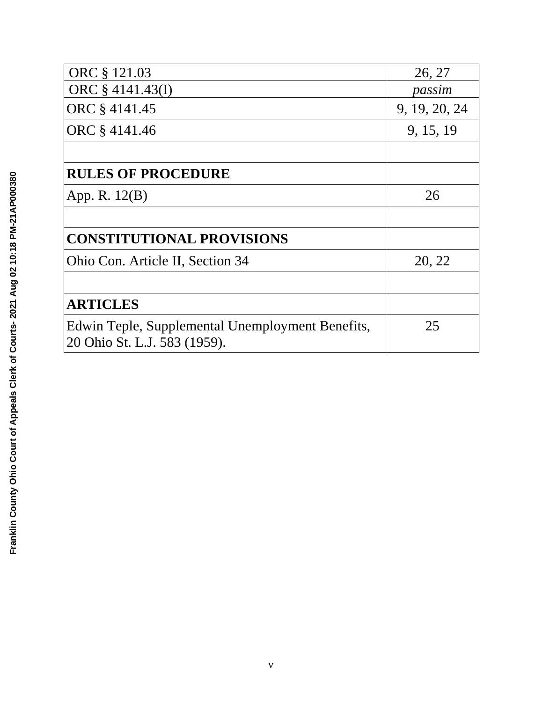| ORC § 121.03                                                                     | 26, 27        |
|----------------------------------------------------------------------------------|---------------|
| ORC § 4141.43(I)                                                                 | passim        |
| ORC § 4141.45                                                                    | 9, 19, 20, 24 |
| ORC § 4141.46                                                                    | 9, 15, 19     |
|                                                                                  |               |
| <b>RULES OF PROCEDURE</b>                                                        |               |
| App. R. 12(B)                                                                    | 26            |
|                                                                                  |               |
| <b>CONSTITUTIONAL PROVISIONS</b>                                                 |               |
| Ohio Con. Article II, Section 34                                                 | 20, 22        |
|                                                                                  |               |
| <b>ARTICLES</b>                                                                  |               |
| Edwin Teple, Supplemental Unemployment Benefits,<br>20 Ohio St. L.J. 583 (1959). | 25            |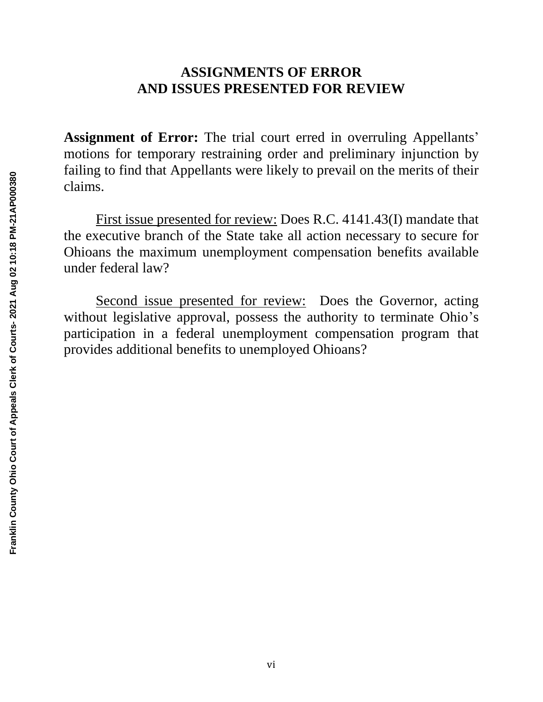## **ASSIGNMENTS OF ERROR AND ISSUES PRESENTED FOR REVIEW**

**Assignment of Error:** The trial court erred in overruling Appellants' motions for temporary restraining order and preliminary injunction by failing to find that Appellants were likely to prevail on the merits of their claims.

First issue presented for review: Does R.C. 4141.43(I) mandate that the executive branch of the State take all action necessary to secure for Ohioans the maximum unemployment compensation benefits available under federal law?

Second issue presented for review: Does the Governor, acting without legislative approval, possess the authority to terminate Ohio's participation in a federal unemployment compensation program that provides additional benefits to unemployed Ohioans?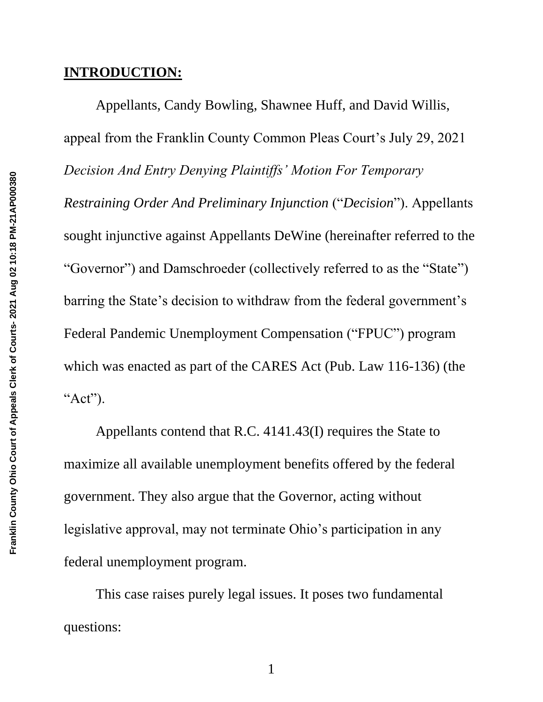## **INTRODUCTION:**

Appellants, Candy Bowling, Shawnee Huff, and David Willis, appeal from the Franklin County Common Pleas Court's July 29, 2021 *Decision And Entry Denying Plaintiffs' Motion For Temporary Restraining Order And Preliminary Injunction* ("*Decision*"). Appellants sought injunctive against Appellants DeWine (hereinafter referred to the "Governor") and Damschroeder (collectively referred to as the "State") barring the State's decision to withdraw from the federal government's Federal Pandemic Unemployment Compensation ("FPUC") program which was enacted as part of the CARES Act (Pub. Law 116-136) (the "Act").

Appellants contend that R.C. 4141.43(I) requires the State to maximize all available unemployment benefits offered by the federal government. They also argue that the Governor, acting without legislative approval, may not terminate Ohio's participation in any federal unemployment program.

This case raises purely legal issues. It poses two fundamental questions: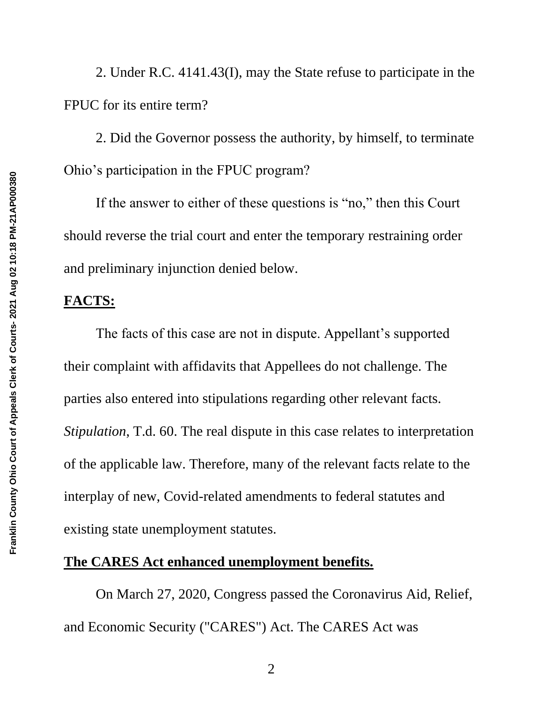2. Under R.C. 4141.43(I), may the State refuse to participate in the FPUC for its entire term?

2. Did the Governor possess the authority, by himself, to terminate Ohio's participation in the FPUC program?

If the answer to either of these questions is "no," then this Court should reverse the trial court and enter the temporary restraining order and preliminary injunction denied below.

# **FACTS:**

The facts of this case are not in dispute. Appellant's supported their complaint with affidavits that Appellees do not challenge. The parties also entered into stipulations regarding other relevant facts. *Stipulation*, T.d. 60. The real dispute in this case relates to interpretation of the applicable law. Therefore, many of the relevant facts relate to the interplay of new, Covid-related amendments to federal statutes and existing state unemployment statutes.

#### **The CARES Act enhanced unemployment benefits.**

On March 27, 2020, Congress passed the Coronavirus Aid, Relief, and Economic Security ("CARES") Act. The CARES Act was

2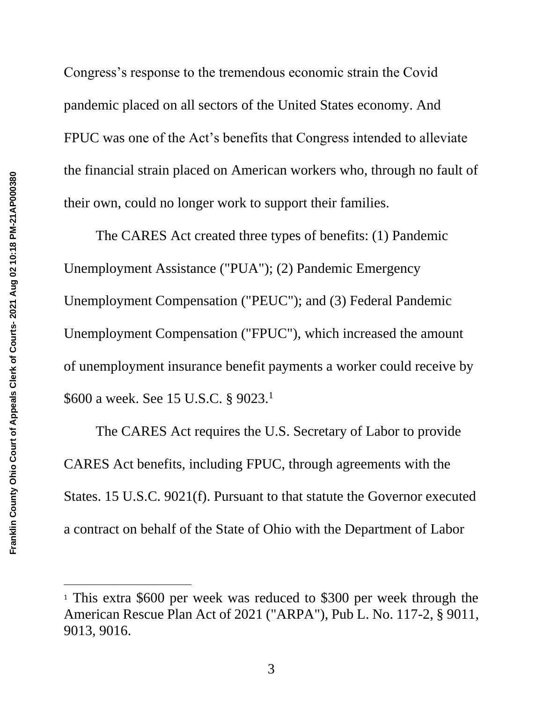Congress's response to the tremendous economic strain the Covid pandemic placed on all sectors of the United States economy. And FPUC was one of the Act's benefits that Congress intended to alleviate the financial strain placed on American workers who, through no fault of their own, could no longer work to support their families.

The CARES Act created three types of benefits: (1) Pandemic Unemployment Assistance ("PUA"); (2) Pandemic Emergency Unemployment Compensation ("PEUC"); and (3) Federal Pandemic Unemployment Compensation ("FPUC"), which increased the amount of unemployment insurance benefit payments a worker could receive by \$600 a week. See 15 U.S.C. § 9023.<sup>1</sup>

The CARES Act requires the U.S. Secretary of Labor to provide CARES Act benefits, including FPUC, through agreements with the States. 15 U.S.C. 9021(f). Pursuant to that statute the Governor executed a contract on behalf of the State of Ohio with the Department of Labor

<sup>1</sup> This extra \$600 per week was reduced to \$300 per week through the American Rescue Plan Act of 2021 ("ARPA"), Pub L. No. 117-2, § 9011, 9013, 9016.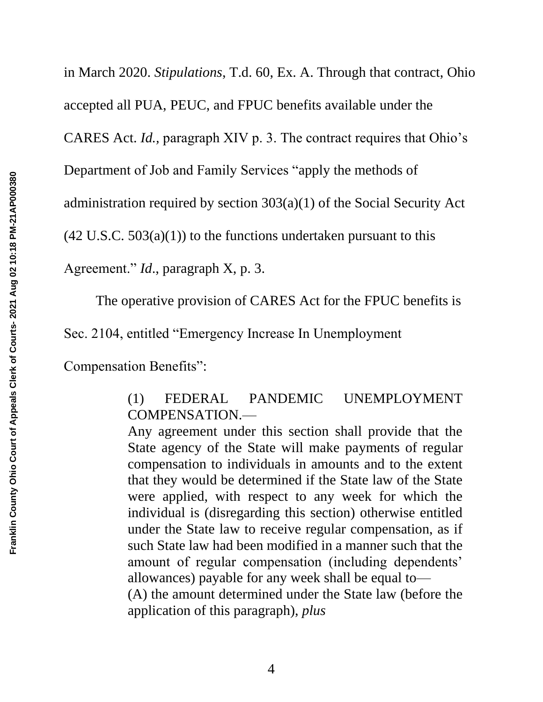in March 2020. *Stipulations*, T.d. 60, Ex. A. Through that contract, Ohio accepted all PUA, PEUC, and FPUC benefits available under the CARES Act. *Id.,* paragraph XIV p. 3. The contract requires that Ohio's Department of Job and Family Services "apply the methods of administration required by section 303(a)(1) of the Social Security Act  $(42 \text{ U.S.C. } 503(a)(1))$  to the functions undertaken pursuant to this

Agreement." *Id*., paragraph X, p. 3.

The operative provision of CARES Act for the FPUC benefits is

Sec. 2104, entitled "Emergency Increase In Unemployment

Compensation Benefits":

(1) FEDERAL PANDEMIC UNEMPLOYMENT COMPENSATION.—

Any agreement under this section shall provide that the State agency of the State will make payments of regular compensation to individuals in amounts and to the extent that they would be determined if the State law of the State were applied, with respect to any week for which the individual is (disregarding this section) otherwise entitled under the State law to receive regular compensation, as if such State law had been modified in a manner such that the amount of regular compensation (including dependents' allowances) payable for any week shall be equal to— (A) the amount determined under the State law (before the application of this paragraph), *plus*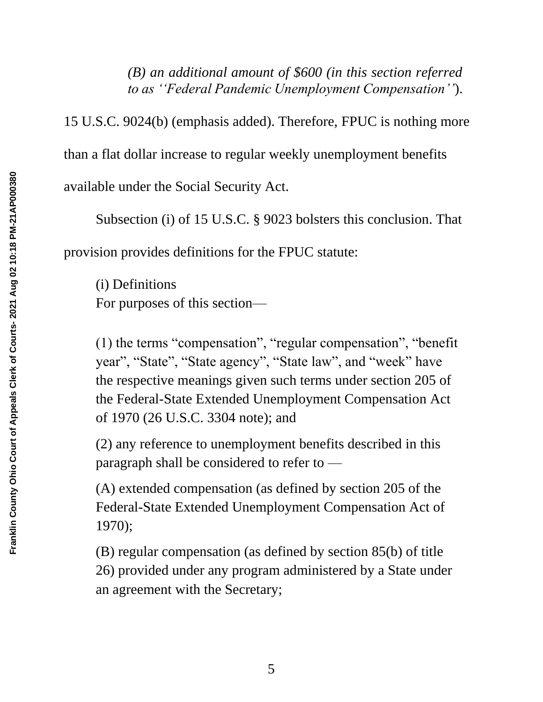*(B) an additional amount of \$600 (in this section referred to as ''Federal Pandemic Unemployment Compensation''*).

15 U.S.C. 9024(b) (emphasis added). Therefore, FPUC is nothing more than a flat dollar increase to regular weekly unemployment benefits available under the Social Security Act.

Subsection (i) of 15 U.S.C. § 9023 bolsters this conclusion. That provision provides definitions for the FPUC statute:

(i) Definitions For purposes of this section—

(1) the terms "compensation", "regular compensation", "benefit year", "State", "State agency", "State law", and "week" have the respective meanings given such terms under section 205 of the Federal-State Extended Unemployment Compensation Act of 1970 (26 U.S.C. 3304 note); and

(2) any reference to unemployment benefits described in this paragraph shall be considered to refer to —

(A) extended compensation (as defined by section 205 of the Federal-State Extended Unemployment Compensation Act of 1970);

(B) regular compensation (as defined by section 85(b) of title 26) provided under any program administered by a State under an agreement with the Secretary;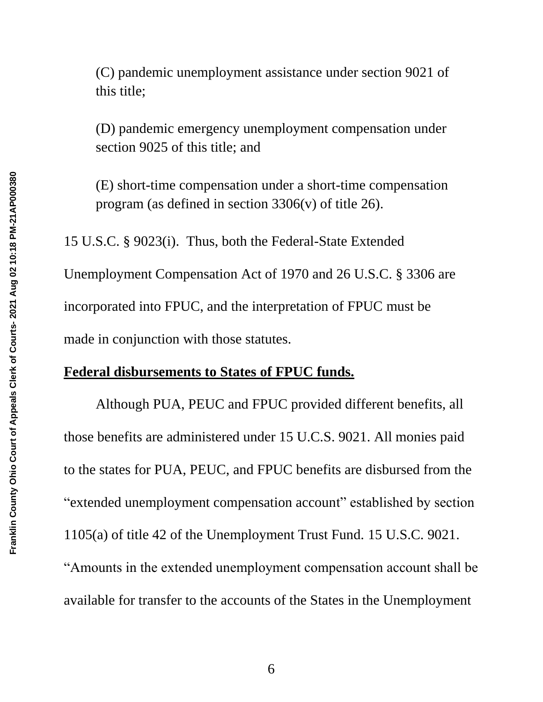(C) pandemic unemployment assistance under section 9021 of this title;

(D) pandemic emergency unemployment compensation under section 9025 of this title; and

(E) short-time compensation under a short-time compensation program (as defined in section  $3306(v)$  of title 26).

15 U.S.C. § 9023(i). Thus, both the Federal-State Extended Unemployment Compensation Act of 1970 and 26 U.S.C. § 3306 are incorporated into FPUC, and the interpretation of FPUC must be made in conjunction with those statutes.

### **Federal disbursements to States of FPUC funds.**

Although PUA, PEUC and FPUC provided different benefits, all those benefits are administered under 15 U.C.S. 9021. All monies paid to the states for PUA, PEUC, and FPUC benefits are disbursed from the "extended unemployment compensation account" established by section 1105(a) of title 42 of the Unemployment Trust Fund. 15 U.S.C. 9021. "Amounts in the extended unemployment compensation account shall be available for transfer to the accounts of the States in the Unemployment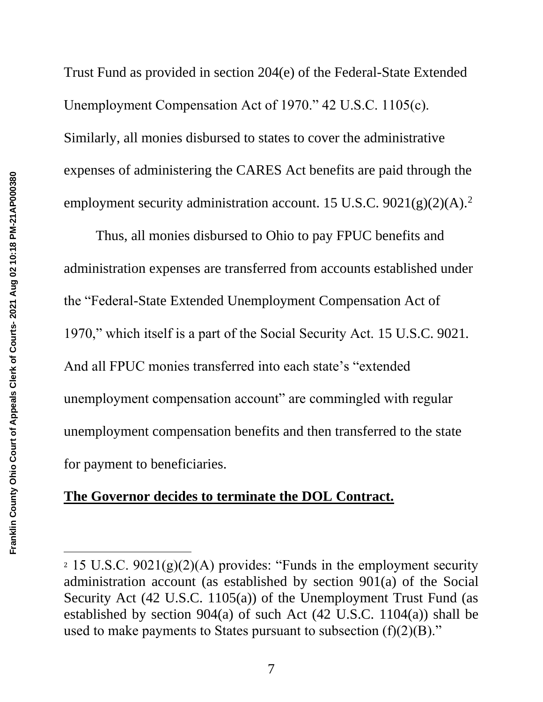Trust Fund as provided in section 204(e) of the Federal-State Extended Unemployment Compensation Act of 1970." 42 U.S.C. 1105(c). Similarly, all monies disbursed to states to cover the administrative expenses of administering the CARES Act benefits are paid through the employment security administration account. 15 U.S.C.  $9021(g)(2)(A)$ .<sup>2</sup>

Thus, all monies disbursed to Ohio to pay FPUC benefits and administration expenses are transferred from accounts established under the "Federal-State Extended Unemployment Compensation Act of 1970," which itself is a part of the Social Security Act. 15 U.S.C. 9021*.* And all FPUC monies transferred into each state's "extended unemployment compensation account" are commingled with regular unemployment compensation benefits and then transferred to the state for payment to beneficiaries.

## **The Governor decides to terminate the DOL Contract.**

<sup>&</sup>lt;sup>2</sup> 15 U.S.C. 9021(g)(2)(A) provides: "Funds in the employment security administration account (as established by section 901(a) of the Social Security Act (42 U.S.C. 1105(a)) of the Unemployment Trust Fund (as established by section 904(a) of such Act (42 U.S.C. 1104(a)) shall be used to make payments to States pursuant to subsection  $(f)(2)(B)$ ."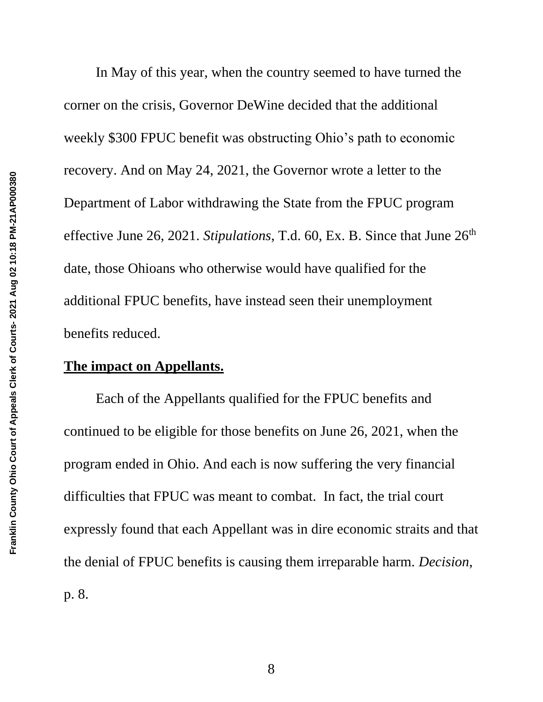In May of this year, when the country seemed to have turned the corner on the crisis, Governor DeWine decided that the additional weekly \$300 FPUC benefit was obstructing Ohio's path to economic recovery. And on May 24, 2021, the Governor wrote a letter to the Department of Labor withdrawing the State from the FPUC program effective June 26, 2021. *Stipulations*, T.d. 60, Ex. B. Since that June 26<sup>th</sup> date, those Ohioans who otherwise would have qualified for the additional FPUC benefits, have instead seen their unemployment benefits reduced.

#### **The impact on Appellants.**

Each of the Appellants qualified for the FPUC benefits and continued to be eligible for those benefits on June 26, 2021, when the program ended in Ohio. And each is now suffering the very financial difficulties that FPUC was meant to combat. In fact, the trial court expressly found that each Appellant was in dire economic straits and that the denial of FPUC benefits is causing them irreparable harm. *Decision*, p. 8.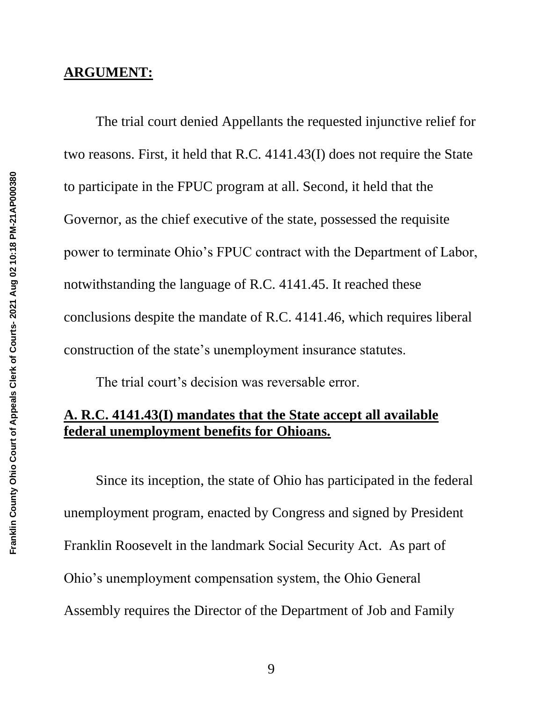#### **ARGUMENT:**

The trial court denied Appellants the requested injunctive relief for two reasons. First, it held that R.C. 4141.43(I) does not require the State to participate in the FPUC program at all. Second, it held that the Governor, as the chief executive of the state, possessed the requisite power to terminate Ohio's FPUC contract with the Department of Labor, notwithstanding the language of R.C. 4141.45. It reached these conclusions despite the mandate of R.C. 4141.46, which requires liberal construction of the state's unemployment insurance statutes.

The trial court's decision was reversable error.

## **A. R.C. 4141.43(I) mandates that the State accept all available federal unemployment benefits for Ohioans.**

Since its inception, the state of Ohio has participated in the federal unemployment program, enacted by Congress and signed by President Franklin Roosevelt in the landmark Social Security Act. As part of Ohio's unemployment compensation system, the Ohio General Assembly requires the Director of the Department of Job and Family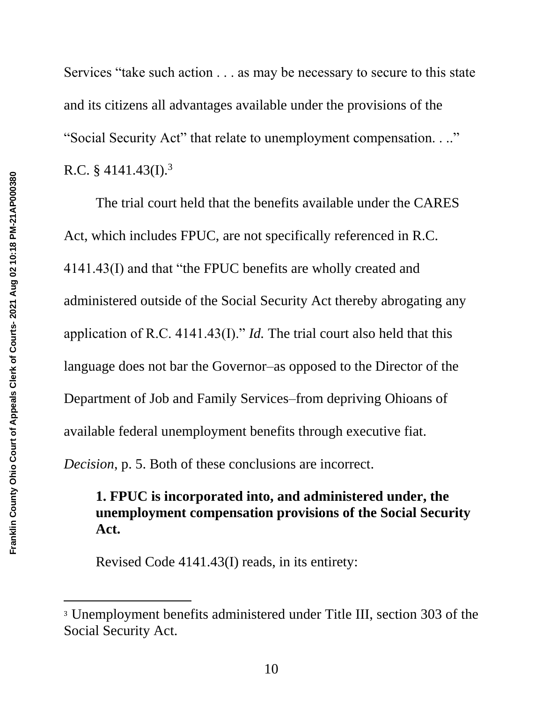Services "take such action . . . as may be necessary to secure to this state and its citizens all advantages available under the provisions of the "Social Security Act" that relate to unemployment compensation. . .." R.C. § 4141.43(I).<sup>3</sup>

The trial court held that the benefits available under the CARES Act, which includes FPUC, are not specifically referenced in R.C. 4141.43(I) and that "the FPUC benefits are wholly created and administered outside of the Social Security Act thereby abrogating any application of R.C. 4141.43(I)." *Id.* The trial court also held that this language does not bar the Governor–as opposed to the Director of the Department of Job and Family Services–from depriving Ohioans of available federal unemployment benefits through executive fiat.

*Decision*, p. 5. Both of these conclusions are incorrect.

# **1. FPUC is incorporated into, and administered under, the unemployment compensation provisions of the Social Security Act.**

Revised Code 4141.43(I) reads, in its entirety:

<sup>3</sup> Unemployment benefits administered under Title III, section 303 of the Social Security Act.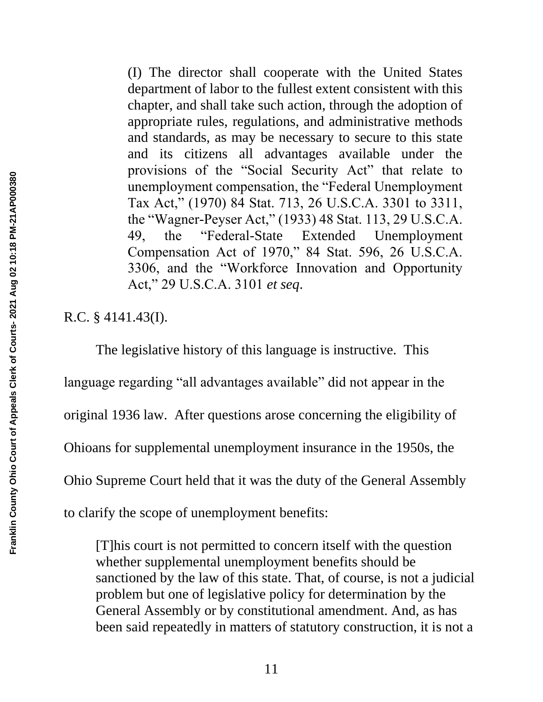(I) The director shall cooperate with the United States department of labor to the fullest extent consistent with this chapter, and shall take such action, through the adoption of appropriate rules, regulations, and administrative methods and standards, as may be necessary to secure to this state and its citizens all advantages available under the provisions of the "Social Security Act" that relate to unemployment compensation, the "Federal Unemployment Tax Act," (1970) 84 Stat. 713, 26 U.S.C.A. 3301 to 3311, the "Wagner-Peyser Act," (1933) 48 Stat. 113, 29 U.S.C.A. 49, the "Federal-State Extended Unemployment Compensation Act of 1970," 84 Stat. 596, 26 U.S.C.A. 3306, and the "Workforce Innovation and Opportunity Act," 29 U.S.C.A. 3101 *et seq*.

R.C. § 4141.43(I).

The legislative history of this language is instructive. This language regarding "all advantages available" did not appear in the original 1936 law. After questions arose concerning the eligibility of Ohioans for supplemental unemployment insurance in the 1950s, the Ohio Supreme Court held that it was the duty of the General Assembly to clarify the scope of unemployment benefits:

[T]his court is not permitted to concern itself with the question whether supplemental unemployment benefits should be sanctioned by the law of this state. That, of course, is not a judicial problem but one of legislative policy for determination by the General Assembly or by constitutional amendment. And, as has been said repeatedly in matters of statutory construction, it is not a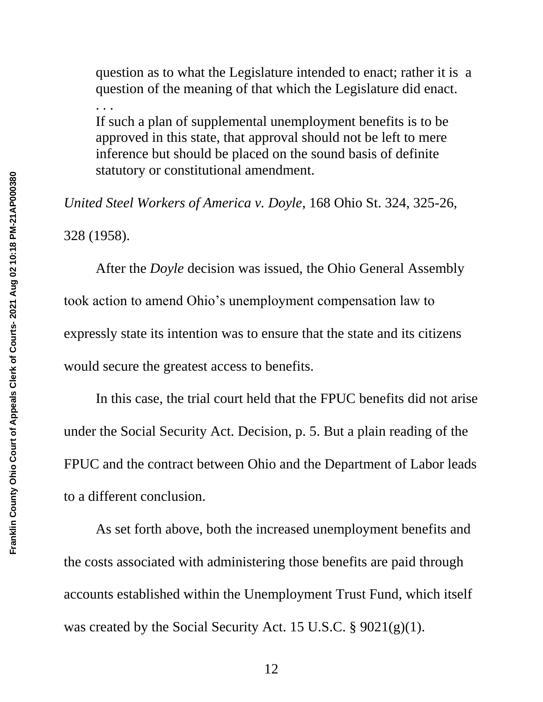question as to what the Legislature intended to enact; rather it is a question of the meaning of that which the Legislature did enact.

If such a plan of supplemental unemployment benefits is to be approved in this state, that approval should not be left to mere inference but should be placed on the sound basis of definite statutory or constitutional amendment.

*United Steel Workers of America v. Doyle*, 168 Ohio St. 324, 325-26, 328 (1958).

After the *Doyle* decision was issued, the Ohio General Assembly took action to amend Ohio's unemployment compensation law to expressly state its intention was to ensure that the state and its citizens would secure the greatest access to benefits.

In this case, the trial court held that the FPUC benefits did not arise under the Social Security Act. Decision, p. 5. But a plain reading of the FPUC and the contract between Ohio and the Department of Labor leads to a different conclusion.

As set forth above, both the increased unemployment benefits and the costs associated with administering those benefits are paid through accounts established within the Unemployment Trust Fund, which itself was created by the Social Security Act. 15 U.S.C. § 9021(g)(1).

. . .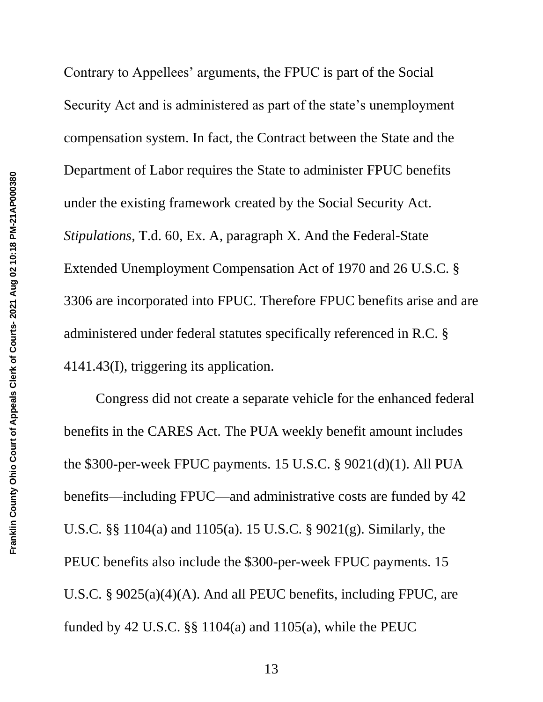Contrary to Appellees' arguments, the FPUC is part of the Social Security Act and is administered as part of the state's unemployment compensation system. In fact, the Contract between the State and the Department of Labor requires the State to administer FPUC benefits under the existing framework created by the Social Security Act. *Stipulations*, T.d. 60, Ex. A, paragraph X. And the Federal-State Extended Unemployment Compensation Act of 1970 and 26 U.S.C. § 3306 are incorporated into FPUC. Therefore FPUC benefits arise and are administered under federal statutes specifically referenced in R.C. § 4141.43(I), triggering its application.

Congress did not create a separate vehicle for the enhanced federal benefits in the CARES Act. The PUA weekly benefit amount includes the \$300-per-week FPUC payments. 15 U.S.C. § 9021(d)(1). All PUA benefits—including FPUC—and administrative costs are funded by 42 U.S.C. §§ 1104(a) and 1105(a). 15 U.S.C. § 9021(g). Similarly, the PEUC benefits also include the \$300-per-week FPUC payments. 15 U.S.C. § 9025(a)(4)(A). And all PEUC benefits, including FPUC, are funded by 42 U.S.C.  $\S$ § 1104(a) and 1105(a), while the PEUC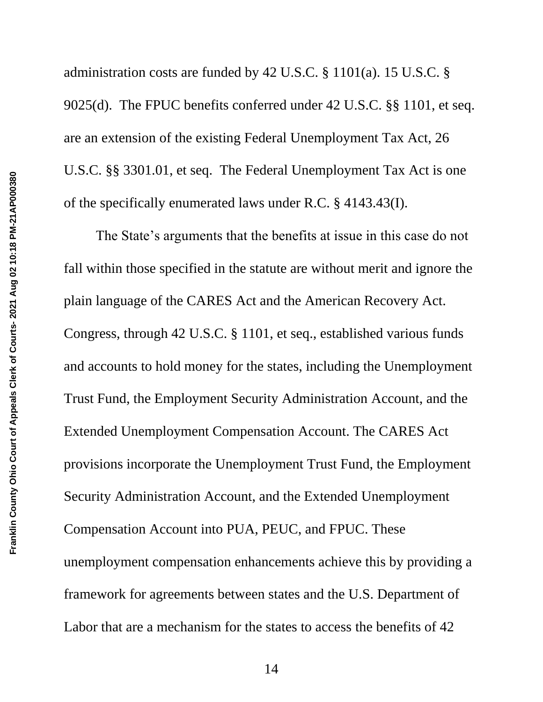administration costs are funded by 42 U.S.C. § 1101(a). 15 U.S.C. § 9025(d). The FPUC benefits conferred under 42 U.S.C. §§ 1101, et seq. are an extension of the existing Federal Unemployment Tax Act, 26 U.S.C. §§ 3301.01, et seq. The Federal Unemployment Tax Act is one of the specifically enumerated laws under R.C. § 4143.43(I).

The State's arguments that the benefits at issue in this case do not fall within those specified in the statute are without merit and ignore the plain language of the CARES Act and the American Recovery Act. Congress, through 42 U.S.C. § 1101, et seq., established various funds and accounts to hold money for the states, including the Unemployment Trust Fund, the Employment Security Administration Account, and the Extended Unemployment Compensation Account. The CARES Act provisions incorporate the Unemployment Trust Fund, the Employment Security Administration Account, and the Extended Unemployment Compensation Account into PUA, PEUC, and FPUC. These unemployment compensation enhancements achieve this by providing a framework for agreements between states and the U.S. Department of Labor that are a mechanism for the states to access the benefits of 42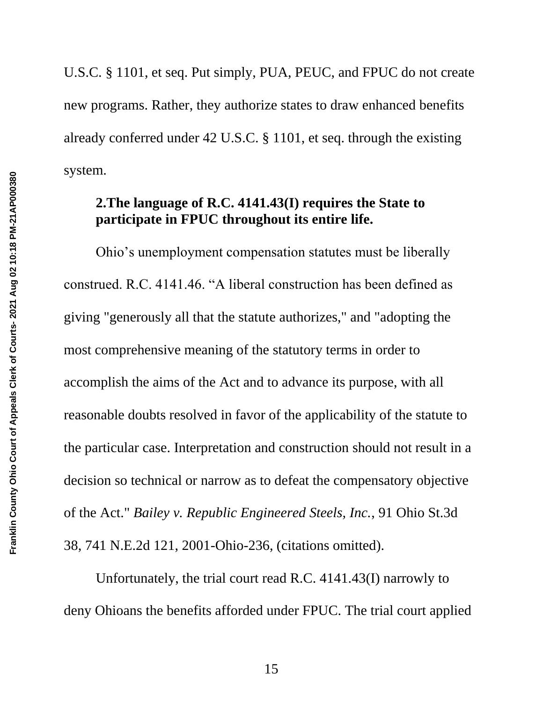U.S.C. § 1101, et seq. Put simply, PUA, PEUC, and FPUC do not create new programs. Rather, they authorize states to draw enhanced benefits already conferred under 42 U.S.C. § 1101, et seq. through the existing system.

# **2.The language of R.C. 4141.43(I) requires the State to participate in FPUC throughout its entire life.**

Ohio's unemployment compensation statutes must be liberally construed. R.C. 4141.46. "A liberal construction has been defined as giving "generously all that the statute authorizes," and "adopting the most comprehensive meaning of the statutory terms in order to accomplish the aims of the Act and to advance its purpose, with all reasonable doubts resolved in favor of the applicability of the statute to the particular case. Interpretation and construction should not result in a decision so technical or narrow as to defeat the compensatory objective of the Act." *Bailey v. Republic Engineered Steels, Inc.*, 91 Ohio St.3d 38, 741 N.E.2d 121, 2001-Ohio-236, (citations omitted).

Unfortunately, the trial court read R.C. 4141.43(I) narrowly to deny Ohioans the benefits afforded under FPUC. The trial court applied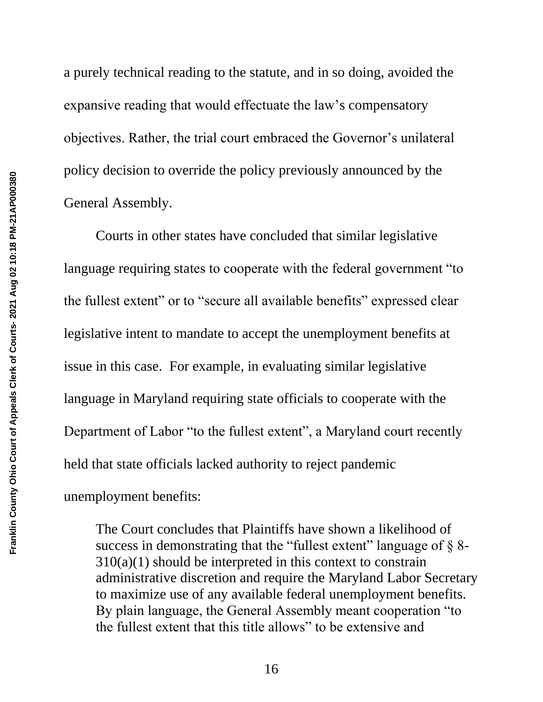a purely technical reading to the statute, and in so doing, avoided the expansive reading that would effectuate the law's compensatory objectives. Rather, the trial court embraced the Governor's unilateral policy decision to override the policy previously announced by the General Assembly.

Courts in other states have concluded that similar legislative language requiring states to cooperate with the federal government "to the fullest extent" or to "secure all available benefits" expressed clear legislative intent to mandate to accept the unemployment benefits at issue in this case. For example, in evaluating similar legislative language in Maryland requiring state officials to cooperate with the Department of Labor "to the fullest extent", a Maryland court recently held that state officials lacked authority to reject pandemic unemployment benefits:

The Court concludes that Plaintiffs have shown a likelihood of success in demonstrating that the "fullest extent" language of  $\S$  8- $310(a)(1)$  should be interpreted in this context to constrain administrative discretion and require the Maryland Labor Secretary to maximize use of any available federal unemployment benefits. By plain language, the General Assembly meant cooperation "to the fullest extent that this title allows" to be extensive and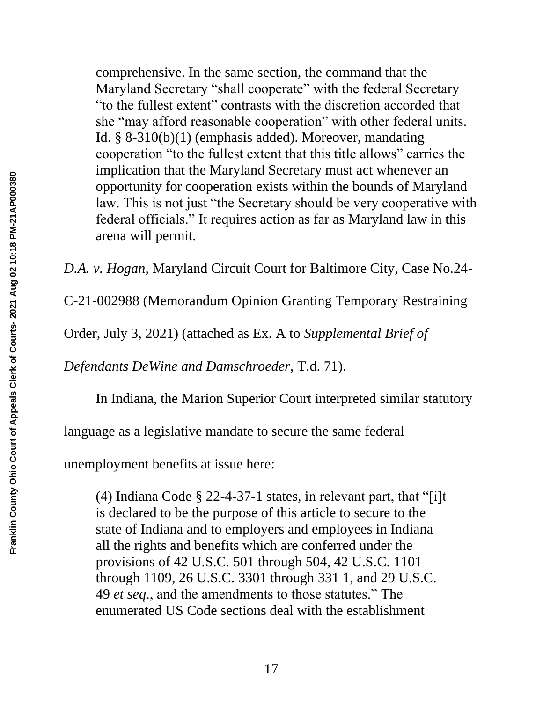comprehensive. In the same section, the command that the Maryland Secretary "shall cooperate" with the federal Secretary "to the fullest extent" contrasts with the discretion accorded that she "may afford reasonable cooperation" with other federal units. Id. § 8-310(b)(1) (emphasis added). Moreover, mandating cooperation "to the fullest extent that this title allows" carries the implication that the Maryland Secretary must act whenever an opportunity for cooperation exists within the bounds of Maryland law. This is not just "the Secretary should be very cooperative with federal officials." It requires action as far as Maryland law in this arena will permit.

*D.A. v. Hogan*, Maryland Circuit Court for Baltimore City, Case No.24-

C-21-002988 (Memorandum Opinion Granting Temporary Restraining

Order, July 3, 2021) (attached as Ex. A to *Supplemental Brief of* 

*Defendants DeWine and Damschroeder,* T.d. 71).

In Indiana, the Marion Superior Court interpreted similar statutory

language as a legislative mandate to secure the same federal

unemployment benefits at issue here:

(4) Indiana Code § 22-4-37-1 states, in relevant part, that "[i]t is declared to be the purpose of this article to secure to the state of Indiana and to employers and employees in Indiana all the rights and benefits which are conferred under the provisions of 42 U.S.C. 501 through 504, 42 U.S.C. 1101 through 1109, 26 U.S.C. 3301 through 331 1, and 29 U.S.C. 49 *et seq*., and the amendments to those statutes." The enumerated US Code sections deal with the establishment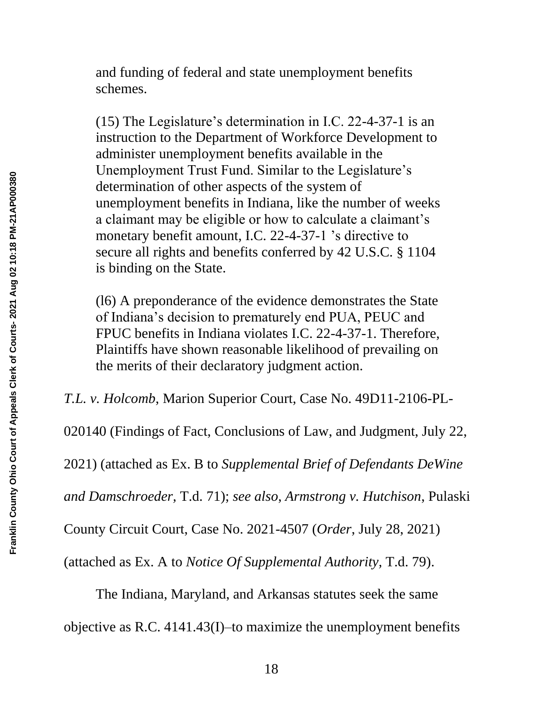and funding of federal and state unemployment benefits schemes.

(15) The Legislature's determination in I.C. 22-4-37-1 is an instruction to the Department of Workforce Development to administer unemployment benefits available in the Unemployment Trust Fund. Similar to the Legislature's determination of other aspects of the system of unemployment benefits in Indiana, like the number of weeks a claimant may be eligible or how to calculate a claimant's monetary benefit amount, I.C. 22-4-37-1 's directive to secure all rights and benefits conferred by 42 U.S.C. § 1104 is binding on the State.

(l6) A preponderance of the evidence demonstrates the State of Indiana's decision to prematurely end PUA, PEUC and FPUC benefits in Indiana violates I.C. 22-4-37-1. Therefore, Plaintiffs have shown reasonable likelihood of prevailing on the merits of their declaratory judgment action.

*T.L. v. Holcomb*, Marion Superior Court, Case No. 49D11-2106-PL-

020140 (Findings of Fact, Conclusions of Law, and Judgment, July 22,

2021) (attached as Ex. B to *Supplemental Brief of Defendants DeWine* 

*and Damschroeder,* T.d. 71); *see also*, *Armstrong v. Hutchison*, Pulaski

County Circuit Court, Case No. 2021-4507 (*Order*, July 28, 2021)

(attached as Ex. A to *Notice Of Supplemental Authority,* T.d. 79).

The Indiana, Maryland, and Arkansas statutes seek the same

objective as R.C. 4141.43(I)–to maximize the unemployment benefits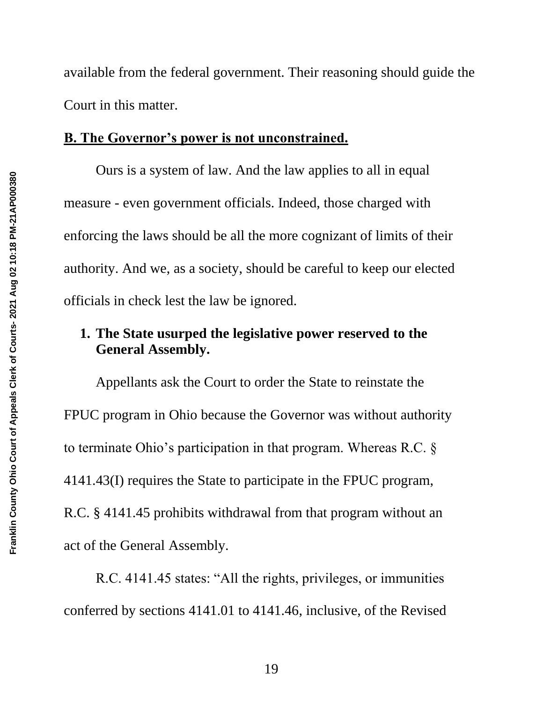available from the federal government. Their reasoning should guide the Court in this matter.

#### **B. The Governor's power is not unconstrained.**

Ours is a system of law. And the law applies to all in equal measure - even government officials. Indeed, those charged with enforcing the laws should be all the more cognizant of limits of their authority. And we, as a society, should be careful to keep our elected officials in check lest the law be ignored.

## **1. The State usurped the legislative power reserved to the General Assembly.**

Appellants ask the Court to order the State to reinstate the FPUC program in Ohio because the Governor was without authority to terminate Ohio's participation in that program. Whereas R.C. § 4141.43(I) requires the State to participate in the FPUC program, R.C. § 4141.45 prohibits withdrawal from that program without an act of the General Assembly.

R.C. 4141.45 states: "All the rights, privileges, or immunities conferred by sections 4141.01 to 4141.46, inclusive, of the Revised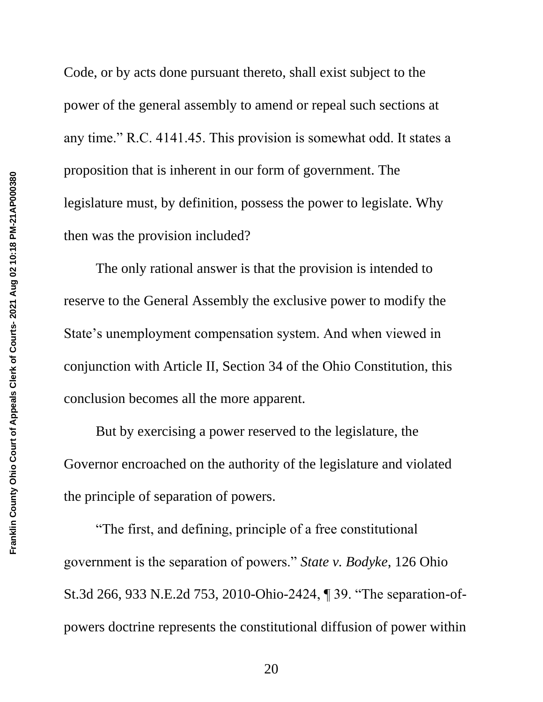Code, or by acts done pursuant thereto, shall exist subject to the power of the general assembly to amend or repeal such sections at any time." R.C. 4141.45. This provision is somewhat odd. It states a proposition that is inherent in our form of government. The legislature must, by definition, possess the power to legislate. Why then was the provision included?

The only rational answer is that the provision is intended to reserve to the General Assembly the exclusive power to modify the State's unemployment compensation system. And when viewed in conjunction with Article II, Section 34 of the Ohio Constitution, this conclusion becomes all the more apparent.

But by exercising a power reserved to the legislature, the Governor encroached on the authority of the legislature and violated the principle of separation of powers.

 "The first, and defining, principle of a free constitutional government is the separation of powers." *State v. Bodyke*, 126 Ohio St.3d 266, 933 N.E.2d 753, 2010-Ohio-2424, ¶ 39. "The separation-ofpowers doctrine represents the constitutional diffusion of power within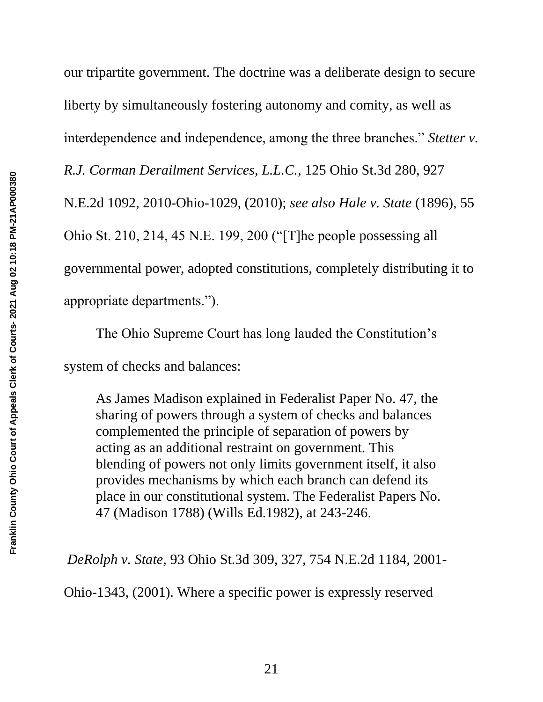our tripartite government. The doctrine was a deliberate design to secure liberty by simultaneously fostering autonomy and comity, as well as interdependence and independence, among the three branches." *Stetter v. R.J. Corman Derailment Services, L.L.C.*, 125 Ohio St.3d 280, 927 N.E.2d 1092, 2010-Ohio-1029, (2010); *see also Hale v. State* (1896), 55 Ohio St. 210, 214, 45 N.E. 199, 200 ("[T]he people possessing all governmental power, adopted constitutions, completely distributing it to appropriate departments.").

The Ohio Supreme Court has long lauded the Constitution's system of checks and balances:

As James Madison explained in Federalist Paper No. 47, the sharing of powers through a system of checks and balances complemented the principle of separation of powers by acting as an additional restraint on government. This blending of powers not only limits government itself, it also provides mechanisms by which each branch can defend its place in our constitutional system. The Federalist Papers No. 47 (Madison 1788) (Wills Ed.1982), at 243-246.

*DeRolph v. State*, 93 Ohio St.3d 309, 327, 754 N.E.2d 1184, 2001-

Ohio-1343, (2001). Where a specific power is expressly reserved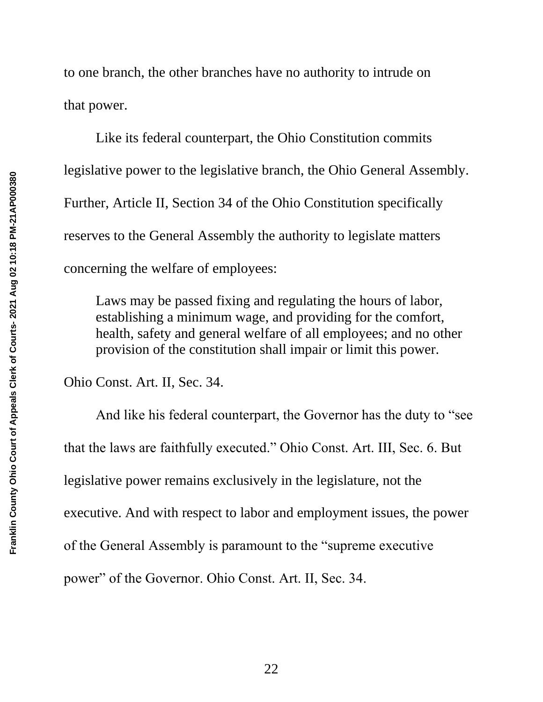to one branch, the other branches have no authority to intrude on that power.

Like its federal counterpart, the Ohio Constitution commits legislative power to the legislative branch, the Ohio General Assembly. Further, Article II, Section 34 of the Ohio Constitution specifically reserves to the General Assembly the authority to legislate matters concerning the welfare of employees:

Laws may be passed fixing and regulating the hours of labor, establishing a minimum wage, and providing for the comfort, health, safety and general welfare of all employees; and no other provision of the constitution shall impair or limit this power.

Ohio Const. Art. II, Sec. 34.

And like his federal counterpart, the Governor has the duty to "see that the laws are faithfully executed." Ohio Const. Art. III, Sec. 6. But legislative power remains exclusively in the legislature, not the executive. And with respect to labor and employment issues, the power of the General Assembly is paramount to the "supreme executive power" of the Governor. Ohio Const. Art. II, Sec. 34.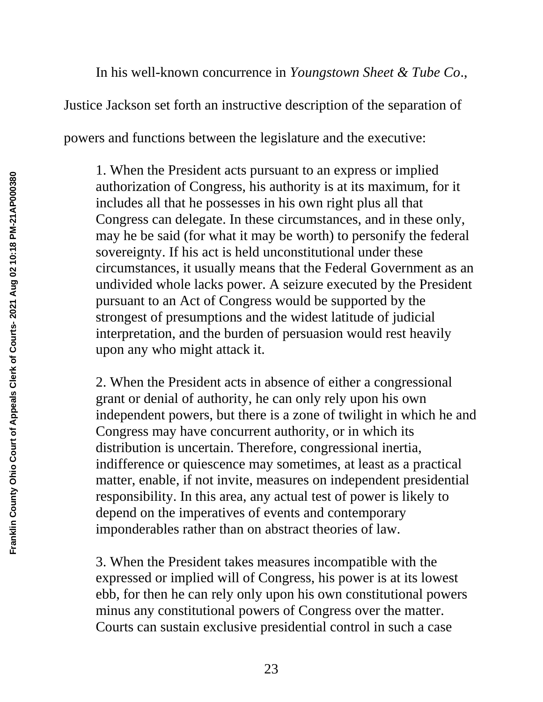In his well-known concurrence in *Youngstown Sheet & Tube Co*.,

Justice Jackson set forth an instructive description of the separation of

powers and functions between the legislature and the executive:

1. When the President acts pursuant to an express or implied authorization of Congress, his authority is at its maximum, for it includes all that he possesses in his own right plus all that Congress can delegate. In these circumstances, and in these only, may he be said (for what it may be worth) to personify the federal sovereignty. If his act is held unconstitutional under these circumstances, it usually means that the Federal Government as an undivided whole lacks power. A seizure executed by the President pursuant to an Act of Congress would be supported by the strongest of presumptions and the widest latitude of judicial interpretation, and the burden of persuasion would rest heavily upon any who might attack it.

2. When the President acts in absence of either a congressional grant or denial of authority, he can only rely upon his own independent powers, but there is a zone of twilight in which he and Congress may have concurrent authority, or in which its distribution is uncertain. Therefore, congressional inertia, indifference or quiescence may sometimes, at least as a practical matter, enable, if not invite, measures on independent presidential responsibility. In this area, any actual test of power is likely to depend on the imperatives of events and contemporary imponderables rather than on abstract theories of law.

3. When the President takes measures incompatible with the expressed or implied will of Congress, his power is at its lowest ebb, for then he can rely only upon his own constitutional powers minus any constitutional powers of Congress over the matter. Courts can sustain exclusive presidential control in such a case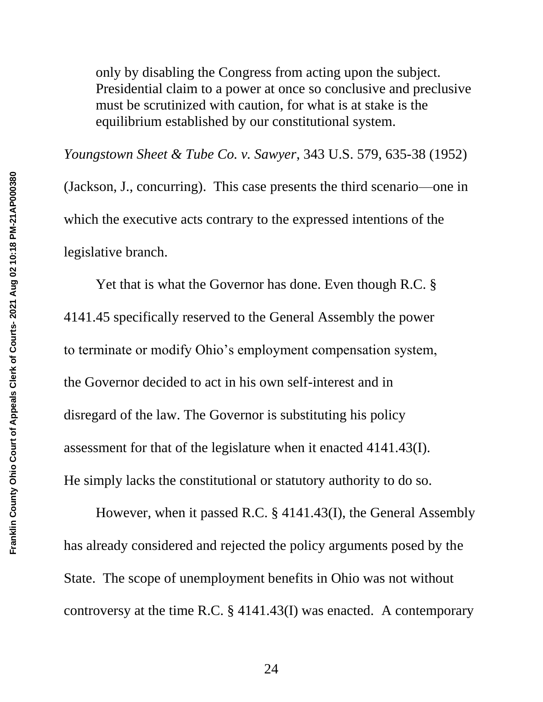only by disabling the Congress from acting upon the subject. Presidential claim to a power at once so conclusive and preclusive must be scrutinized with caution, for what is at stake is the equilibrium established by our constitutional system.

*Youngstown Sheet & Tube Co. v. Sawyer*, 343 U.S. 579, 635-38 (1952) (Jackson, J., concurring). This case presents the third scenario—one in which the executive acts contrary to the expressed intentions of the legislative branch.

Yet that is what the Governor has done. Even though R.C. § 4141.45 specifically reserved to the General Assembly the power to terminate or modify Ohio's employment compensation system, the Governor decided to act in his own self-interest and in disregard of the law. The Governor is substituting his policy assessment for that of the legislature when it enacted 4141.43(I). He simply lacks the constitutional or statutory authority to do so.

However, when it passed R.C. § 4141.43(I), the General Assembly has already considered and rejected the policy arguments posed by the State. The scope of unemployment benefits in Ohio was not without controversy at the time R.C. § 4141.43(I) was enacted. A contemporary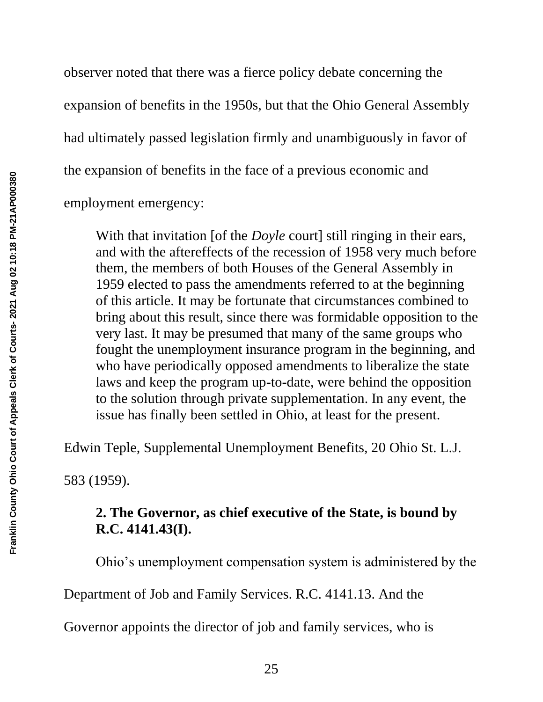observer noted that there was a fierce policy debate concerning the expansion of benefits in the 1950s, but that the Ohio General Assembly had ultimately passed legislation firmly and unambiguously in favor of the expansion of benefits in the face of a previous economic and employment emergency:

With that invitation [of the *Doyle* court] still ringing in their ears, and with the aftereffects of the recession of 1958 very much before them, the members of both Houses of the General Assembly in 1959 elected to pass the amendments referred to at the beginning of this article. It may be fortunate that circumstances combined to bring about this result, since there was formidable opposition to the very last. It may be presumed that many of the same groups who fought the unemployment insurance program in the beginning, and who have periodically opposed amendments to liberalize the state laws and keep the program up-to-date, were behind the opposition to the solution through private supplementation. In any event, the issue has finally been settled in Ohio, at least for the present.

Edwin Teple, Supplemental Unemployment Benefits, 20 Ohio St. L.J.

583 (1959).

# **2. The Governor, as chief executive of the State, is bound by R.C. 4141.43(I).**

Ohio's unemployment compensation system is administered by the

Department of Job and Family Services. R.C. 4141.13. And the

Governor appoints the director of job and family services, who is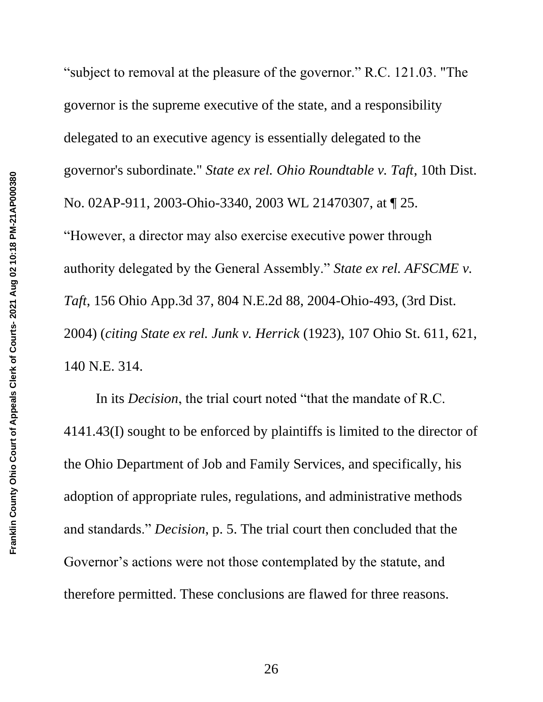"subject to removal at the pleasure of the governor." R.C. 121.03. "The governor is the supreme executive of the state, and a responsibility delegated to an executive agency is essentially delegated to the governor's subordinate." *State ex rel. Ohio Roundtable v. Taft*, 10th Dist. No. 02AP-911, 2003-Ohio-3340, 2003 WL 21470307, at ¶ 25. "However, a director may also exercise executive power through authority delegated by the General Assembly." *State ex rel. AFSCME v. Taft*, 156 Ohio App.3d 37, 804 N.E.2d 88, 2004-Ohio-493, (3rd Dist. 2004) (*citing State ex rel. Junk v. Herrick* (1923), 107 Ohio St. 611, 621, 140 N.E. 314.

In its *Decision*, the trial court noted "that the mandate of R.C. 4141.43(I) sought to be enforced by plaintiffs is limited to the director of the Ohio Department of Job and Family Services, and specifically, his adoption of appropriate rules, regulations, and administrative methods and standards." *Decision*, p. 5. The trial court then concluded that the Governor's actions were not those contemplated by the statute, and therefore permitted. These conclusions are flawed for three reasons.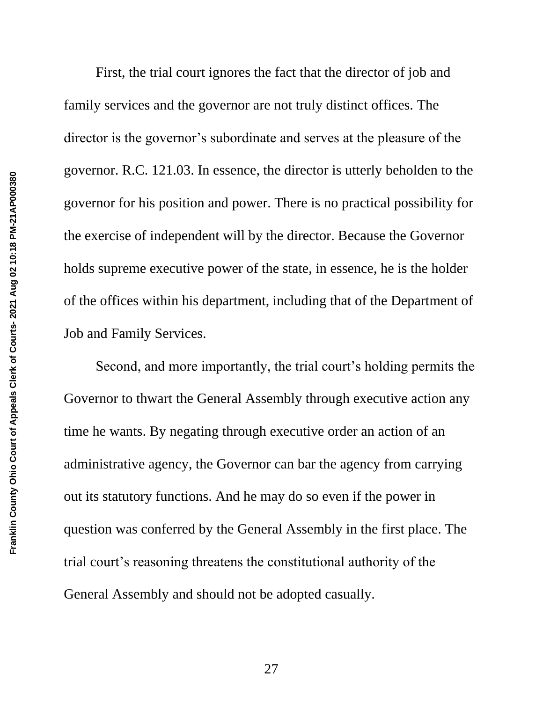First, the trial court ignores the fact that the director of job and family services and the governor are not truly distinct offices. The director is the governor's subordinate and serves at the pleasure of the governor. R.C. 121.03. In essence, the director is utterly beholden to the governor for his position and power. There is no practical possibility for the exercise of independent will by the director. Because the Governor holds supreme executive power of the state, in essence, he is the holder of the offices within his department, including that of the Department of Job and Family Services.

Second, and more importantly, the trial court's holding permits the Governor to thwart the General Assembly through executive action any time he wants. By negating through executive order an action of an administrative agency, the Governor can bar the agency from carrying out its statutory functions. And he may do so even if the power in question was conferred by the General Assembly in the first place. The trial court's reasoning threatens the constitutional authority of the General Assembly and should not be adopted casually.

27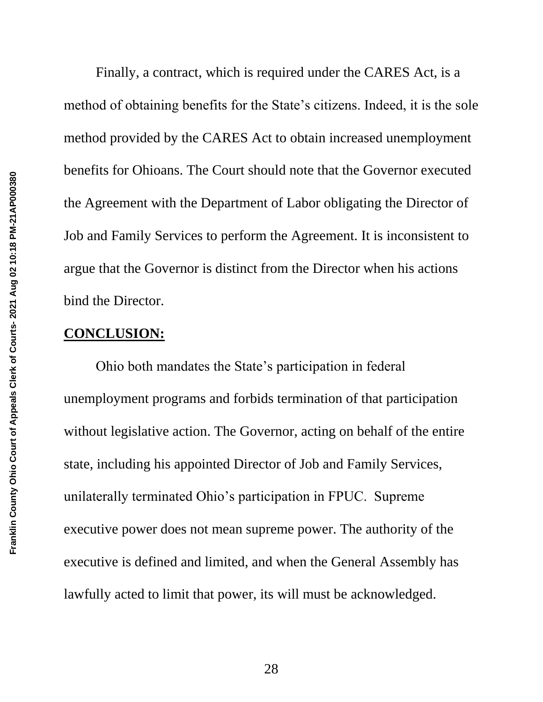Finally, a contract, which is required under the CARES Act, is a method of obtaining benefits for the State's citizens. Indeed, it is the sole method provided by the CARES Act to obtain increased unemployment benefits for Ohioans. The Court should note that the Governor executed the Agreement with the Department of Labor obligating the Director of Job and Family Services to perform the Agreement. It is inconsistent to argue that the Governor is distinct from the Director when his actions bind the Director.

#### **CONCLUSION:**

Ohio both mandates the State's participation in federal unemployment programs and forbids termination of that participation without legislative action. The Governor, acting on behalf of the entire state, including his appointed Director of Job and Family Services, unilaterally terminated Ohio's participation in FPUC. Supreme executive power does not mean supreme power. The authority of the executive is defined and limited, and when the General Assembly has lawfully acted to limit that power, its will must be acknowledged.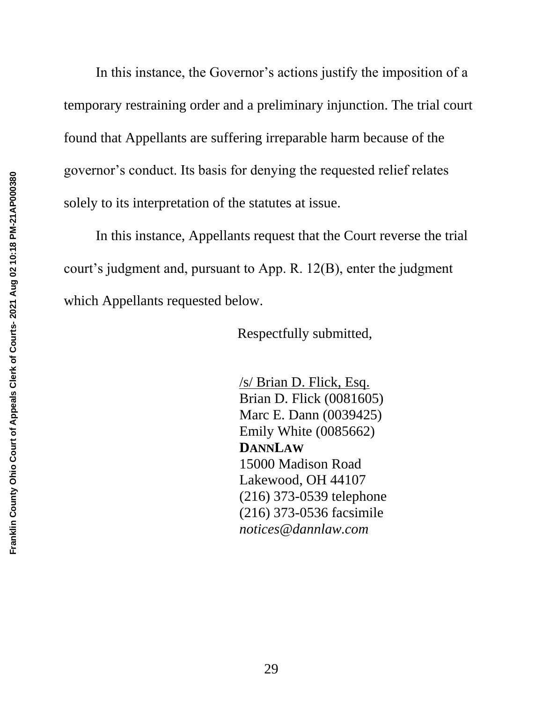In this instance, the Governor's actions justify the imposition of a temporary restraining order and a preliminary injunction. The trial court found that Appellants are suffering irreparable harm because of the governor's conduct. Its basis for denying the requested relief relates solely to its interpretation of the statutes at issue.

In this instance, Appellants request that the Court reverse the trial court's judgment and, pursuant to App. R. 12(B), enter the judgment which Appellants requested below.

Respectfully submitted,

/s/ Brian D. Flick, Esq. Brian D. Flick (0081605) Marc E. Dann (0039425) Emily White (0085662) **DANNLAW** 15000 Madison Road Lakewood, OH 44107 (216) 373-0539 telephone (216) 373-0536 facsimile *notices@dannlaw.com*